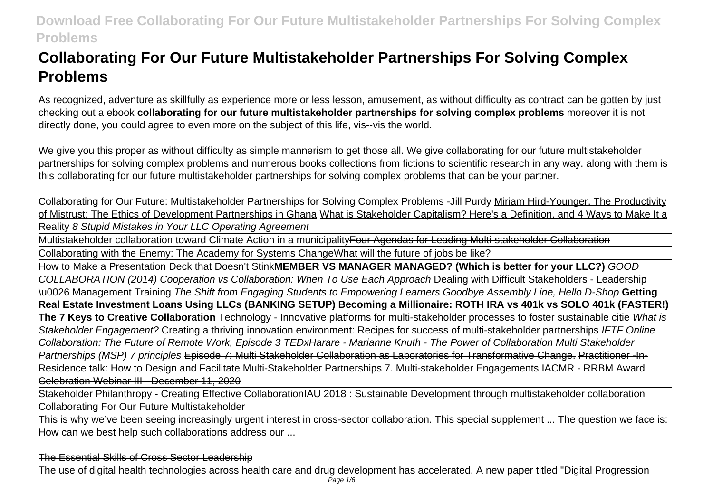# **Collaborating For Our Future Multistakeholder Partnerships For Solving Complex Problems**

As recognized, adventure as skillfully as experience more or less lesson, amusement, as without difficulty as contract can be gotten by just checking out a ebook **collaborating for our future multistakeholder partnerships for solving complex problems** moreover it is not directly done, you could agree to even more on the subject of this life, vis--vis the world.

We give you this proper as without difficulty as simple mannerism to get those all. We give collaborating for our future multistakeholder partnerships for solving complex problems and numerous books collections from fictions to scientific research in any way. along with them is this collaborating for our future multistakeholder partnerships for solving complex problems that can be your partner.

Collaborating for Our Future: Multistakeholder Partnerships for Solving Complex Problems -Jill Purdy Miriam Hird-Younger, The Productivity of Mistrust: The Ethics of Development Partnerships in Ghana What is Stakeholder Capitalism? Here's a Definition, and 4 Ways to Make It a Reality 8 Stupid Mistakes in Your LLC Operating Agreement

Multistakeholder collaboration toward Climate Action in a municipality Four Agendas for Leading Multi-stakeholder Collaboration Collaborating with the Enemy: The Academy for Systems ChangeWhat will the future of jobs be like?

How to Make a Presentation Deck that Doesn't Stink**MEMBER VS MANAGER MANAGED? (Which is better for your LLC?)** GOOD COLLABORATION (2014) Cooperation vs Collaboration: When To Use Each Approach Dealing with Difficult Stakeholders - Leadership \u0026 Management Training The Shift from Engaging Students to Empowering Learners Goodbye Assembly Line, Hello D-Shop **Getting Real Estate Investment Loans Using LLCs (BANKING SETUP) Becoming a Millionaire: ROTH IRA vs 401k vs SOLO 401k (FASTER!) The 7 Keys to Creative Collaboration** Technology - Innovative platforms for multi-stakeholder processes to foster sustainable citie What is Stakeholder Engagement? Creating a thriving innovation environment: Recipes for success of multi-stakeholder partnerships IFTF Online Collaboration: The Future of Remote Work, Episode 3 TEDxHarare - Marianne Knuth - The Power of Collaboration Multi Stakeholder Partnerships (MSP) 7 principles Episode 7: Multi Stakeholder Collaboration as Laboratories for Transformative Change. Practitioner -In-Residence talk: How to Design and Facilitate Multi-Stakeholder Partnerships 7. Multi-stakeholder Engagements IACMR - RRBM Award Celebration Webinar III - December 11, 2020

Stakeholder Philanthropy - Creating Effective Collaboration<del>IAU 2018 : Sustainable Development through multistakeholder collaboration</del> Collaborating For Our Future Multistakeholder

This is why we've been seeing increasingly urgent interest in cross-sector collaboration. This special supplement ... The question we face is: How can we best help such collaborations address our ...

The Essential Skills of Cross Sector Leadership

The use of digital health technologies across health care and drug development has accelerated. A new paper titled "Digital Progression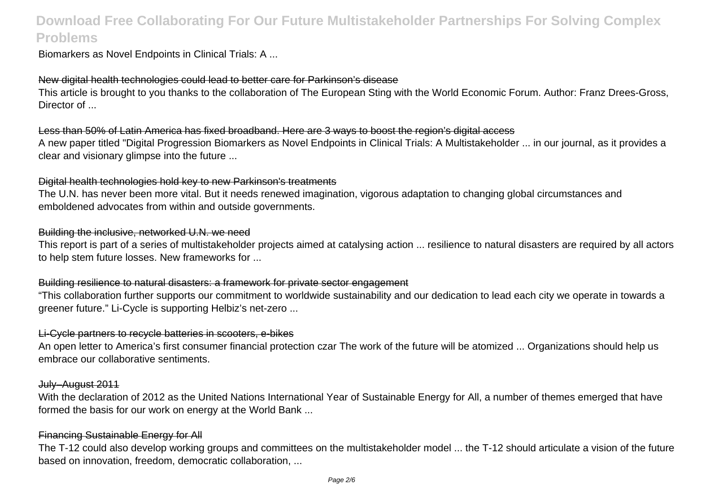Biomarkers as Novel Endpoints in Clinical Trials: A ...

### New digital health technologies could lead to better care for Parkinson's disease

This article is brought to you thanks to the collaboration of The European Sting with the World Economic Forum. Author: Franz Drees-Gross, Director of

### Less than 50% of Latin America has fixed broadband. Here are 3 ways to boost the region's digital access

A new paper titled "Digital Progression Biomarkers as Novel Endpoints in Clinical Trials: A Multistakeholder ... in our journal, as it provides a clear and visionary glimpse into the future ...

### Digital health technologies hold key to new Parkinson's treatments

The U.N. has never been more vital. But it needs renewed imagination, vigorous adaptation to changing global circumstances and emboldened advocates from within and outside governments.

### Building the inclusive, networked U.N. we need

This report is part of a series of multistakeholder projects aimed at catalysing action ... resilience to natural disasters are required by all actors to help stem future losses. New frameworks for ...

### Building resilience to natural disasters: a framework for private sector engagement

"This collaboration further supports our commitment to worldwide sustainability and our dedication to lead each city we operate in towards a greener future." Li-Cycle is supporting Helbiz's net-zero ...

### Li-Cycle partners to recycle batteries in scooters, e-bikes

An open letter to America's first consumer financial protection czar The work of the future will be atomized ... Organizations should help us embrace our collaborative sentiments.

### July–August 2011

With the declaration of 2012 as the United Nations International Year of Sustainable Energy for All, a number of themes emerged that have formed the basis for our work on energy at the World Bank ...

### Financing Sustainable Energy for All

The T-12 could also develop working groups and committees on the multistakeholder model ... the T-12 should articulate a vision of the future based on innovation, freedom, democratic collaboration, ...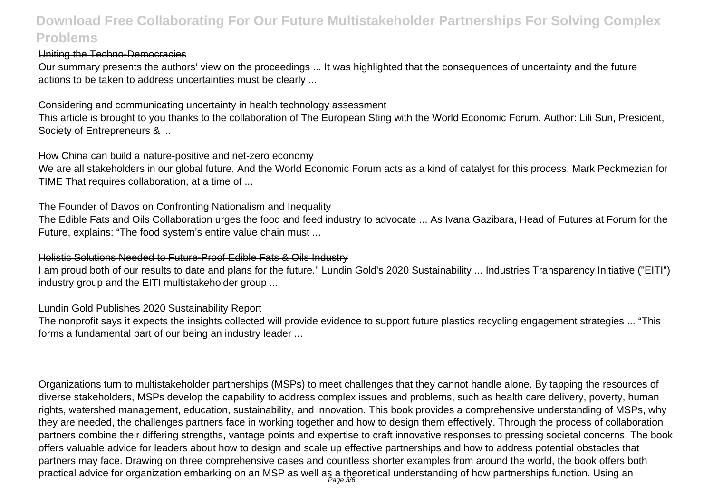### Uniting the Techno-Democracies

Our summary presents the authors' view on the proceedings ... It was highlighted that the consequences of uncertainty and the future actions to be taken to address uncertainties must be clearly ...

#### Considering and communicating uncertainty in health technology assessment

This article is brought to you thanks to the collaboration of The European Sting with the World Economic Forum. Author: Lili Sun, President, Society of Entrepreneurs & ...

#### How China can build a nature-positive and net-zero economy

We are all stakeholders in our global future. And the World Economic Forum acts as a kind of catalyst for this process. Mark Peckmezian for TIME That requires collaboration, at a time of ...

### The Founder of Davos on Confronting Nationalism and Inequality

The Edible Fats and Oils Collaboration urges the food and feed industry to advocate ... As Ivana Gazibara, Head of Futures at Forum for the Future, explains: "The food system's entire value chain must ...

### Holistic Solutions Needed to Future-Proof Edible Fats & Oils Industry

I am proud both of our results to date and plans for the future." Lundin Gold's 2020 Sustainability ... Industries Transparency Initiative ("EITI") industry group and the EITI multistakeholder group ...

### Lundin Gold Publishes 2020 Sustainability Report

The nonprofit says it expects the insights collected will provide evidence to support future plastics recycling engagement strategies ... "This forms a fundamental part of our being an industry leader ...

Organizations turn to multistakeholder partnerships (MSPs) to meet challenges that they cannot handle alone. By tapping the resources of diverse stakeholders, MSPs develop the capability to address complex issues and problems, such as health care delivery, poverty, human rights, watershed management, education, sustainability, and innovation. This book provides a comprehensive understanding of MSPs, why they are needed, the challenges partners face in working together and how to design them effectively. Through the process of collaboration partners combine their differing strengths, vantage points and expertise to craft innovative responses to pressing societal concerns. The book offers valuable advice for leaders about how to design and scale up effective partnerships and how to address potential obstacles that partners may face. Drawing on three comprehensive cases and countless shorter examples from around the world, the book offers both practical advice for organization embarking on an MSP as well as a theoretical understanding of how partnerships function. Using an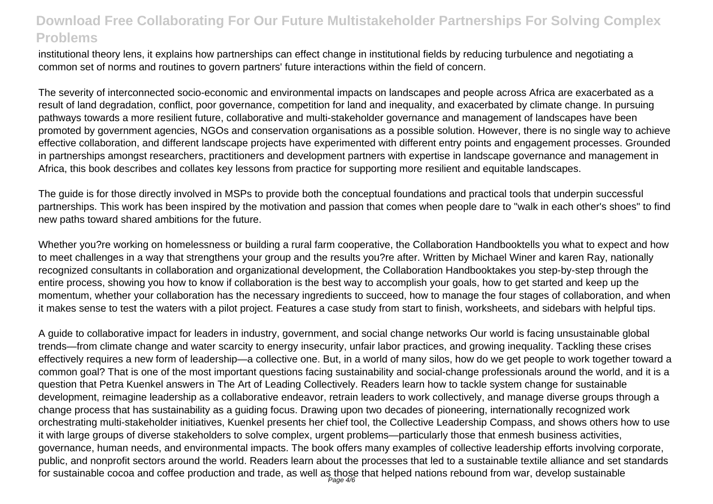institutional theory lens, it explains how partnerships can effect change in institutional fields by reducing turbulence and negotiating a common set of norms and routines to govern partners' future interactions within the field of concern.

The severity of interconnected socio-economic and environmental impacts on landscapes and people across Africa are exacerbated as a result of land degradation, conflict, poor governance, competition for land and inequality, and exacerbated by climate change. In pursuing pathways towards a more resilient future, collaborative and multi-stakeholder governance and management of landscapes have been promoted by government agencies, NGOs and conservation organisations as a possible solution. However, there is no single way to achieve effective collaboration, and different landscape projects have experimented with different entry points and engagement processes. Grounded in partnerships amongst researchers, practitioners and development partners with expertise in landscape governance and management in Africa, this book describes and collates key lessons from practice for supporting more resilient and equitable landscapes.

The guide is for those directly involved in MSPs to provide both the conceptual foundations and practical tools that underpin successful partnerships. This work has been inspired by the motivation and passion that comes when people dare to "walk in each other's shoes" to find new paths toward shared ambitions for the future.

Whether you?re working on homelessness or building a rural farm cooperative, the Collaboration Handbooktells you what to expect and how to meet challenges in a way that strengthens your group and the results you?re after. Written by Michael Winer and karen Ray, nationally recognized consultants in collaboration and organizational development, the Collaboration Handbooktakes you step-by-step through the entire process, showing you how to know if collaboration is the best way to accomplish your goals, how to get started and keep up the momentum, whether your collaboration has the necessary ingredients to succeed, how to manage the four stages of collaboration, and when it makes sense to test the waters with a pilot project. Features a case study from start to finish, worksheets, and sidebars with helpful tips.

A guide to collaborative impact for leaders in industry, government, and social change networks Our world is facing unsustainable global trends—from climate change and water scarcity to energy insecurity, unfair labor practices, and growing inequality. Tackling these crises effectively requires a new form of leadership—a collective one. But, in a world of many silos, how do we get people to work together toward a common goal? That is one of the most important questions facing sustainability and social-change professionals around the world, and it is a question that Petra Kuenkel answers in The Art of Leading Collectively. Readers learn how to tackle system change for sustainable development, reimagine leadership as a collaborative endeavor, retrain leaders to work collectively, and manage diverse groups through a change process that has sustainability as a guiding focus. Drawing upon two decades of pioneering, internationally recognized work orchestrating multi-stakeholder initiatives, Kuenkel presents her chief tool, the Collective Leadership Compass, and shows others how to use it with large groups of diverse stakeholders to solve complex, urgent problems—particularly those that enmesh business activities, governance, human needs, and environmental impacts. The book offers many examples of collective leadership efforts involving corporate, public, and nonprofit sectors around the world. Readers learn about the processes that led to a sustainable textile alliance and set standards for sustainable cocoa and coffee production and trade, as well as those that helped nations rebound from war, develop sustainable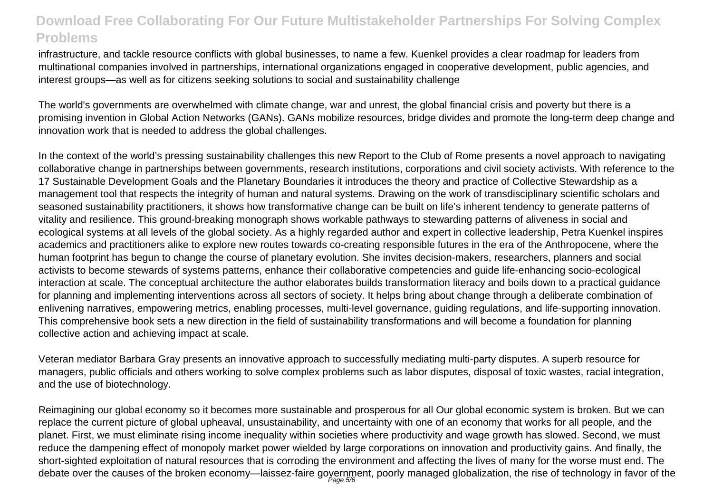infrastructure, and tackle resource conflicts with global businesses, to name a few. Kuenkel provides a clear roadmap for leaders from multinational companies involved in partnerships, international organizations engaged in cooperative development, public agencies, and interest groups—as well as for citizens seeking solutions to social and sustainability challenge

The world's governments are overwhelmed with climate change, war and unrest, the global financial crisis and poverty but there is a promising invention in Global Action Networks (GANs). GANs mobilize resources, bridge divides and promote the long-term deep change and innovation work that is needed to address the global challenges.

In the context of the world's pressing sustainability challenges this new Report to the Club of Rome presents a novel approach to navigating collaborative change in partnerships between governments, research institutions, corporations and civil society activists. With reference to the 17 Sustainable Development Goals and the Planetary Boundaries it introduces the theory and practice of Collective Stewardship as a management tool that respects the integrity of human and natural systems. Drawing on the work of transdisciplinary scientific scholars and seasoned sustainability practitioners, it shows how transformative change can be built on life's inherent tendency to generate patterns of vitality and resilience. This ground-breaking monograph shows workable pathways to stewarding patterns of aliveness in social and ecological systems at all levels of the global society. As a highly regarded author and expert in collective leadership, Petra Kuenkel inspires academics and practitioners alike to explore new routes towards co-creating responsible futures in the era of the Anthropocene, where the human footprint has begun to change the course of planetary evolution. She invites decision-makers, researchers, planners and social activists to become stewards of systems patterns, enhance their collaborative competencies and guide life-enhancing socio-ecological interaction at scale. The conceptual architecture the author elaborates builds transformation literacy and boils down to a practical guidance for planning and implementing interventions across all sectors of society. It helps bring about change through a deliberate combination of enlivening narratives, empowering metrics, enabling processes, multi-level governance, guiding regulations, and life-supporting innovation. This comprehensive book sets a new direction in the field of sustainability transformations and will become a foundation for planning collective action and achieving impact at scale.

Veteran mediator Barbara Gray presents an innovative approach to successfully mediating multi-party disputes. A superb resource for managers, public officials and others working to solve complex problems such as labor disputes, disposal of toxic wastes, racial integration, and the use of biotechnology.

Reimagining our global economy so it becomes more sustainable and prosperous for all Our global economic system is broken. But we can replace the current picture of global upheaval, unsustainability, and uncertainty with one of an economy that works for all people, and the planet. First, we must eliminate rising income inequality within societies where productivity and wage growth has slowed. Second, we must reduce the dampening effect of monopoly market power wielded by large corporations on innovation and productivity gains. And finally, the short-sighted exploitation of natural resources that is corroding the environment and affecting the lives of many for the worse must end. The debate over the causes of the broken economy—laissez-faire goyernment, poorly managed globalization, the rise of technology in favor of the